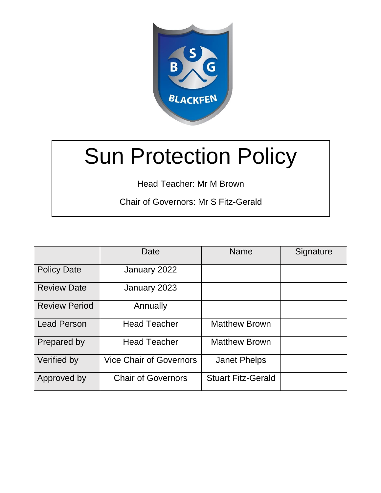

# Sun Protection Policy

Head Teacher: Mr M Brown

Chair of Governors: Mr S Fitz-Gerald

|                      | Date                           | <b>Name</b>               | Signature |
|----------------------|--------------------------------|---------------------------|-----------|
| <b>Policy Date</b>   | January 2022                   |                           |           |
| <b>Review Date</b>   | January 2023                   |                           |           |
| <b>Review Period</b> | Annually                       |                           |           |
| <b>Lead Person</b>   | <b>Head Teacher</b>            | <b>Matthew Brown</b>      |           |
| Prepared by          | <b>Head Teacher</b>            | <b>Matthew Brown</b>      |           |
| Verified by          | <b>Vice Chair of Governors</b> | <b>Janet Phelps</b>       |           |
| Approved by          | <b>Chair of Governors</b>      | <b>Stuart Fitz-Gerald</b> |           |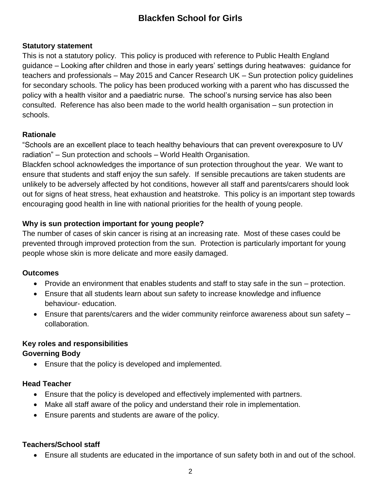## **Statutory statement**

This is not a statutory policy. This policy is produced with reference to Public Health England guidance – Looking after children and those in early years' settings during heatwaves: guidance for teachers and professionals – May 2015 and Cancer Research UK – Sun protection policy guidelines for secondary schools. The policy has been produced working with a parent who has discussed the policy with a health visitor and a paediatric nurse. The school's nursing service has also been consulted. Reference has also been made to the world health organisation – sun protection in schools.

## **Rationale**

"Schools are an excellent place to teach healthy behaviours that can prevent overexposure to UV radiation" – Sun protection and schools – World Health Organisation.

Blackfen school acknowledges the importance of sun protection throughout the year. We want to ensure that students and staff enjoy the sun safely. If sensible precautions are taken students are unlikely to be adversely affected by hot conditions, however all staff and parents/carers should look out for signs of heat stress, heat exhaustion and heatstroke. This policy is an important step towards encouraging good health in line with national priorities for the health of young people.

## **Why is sun protection important for young people?**

The number of cases of skin cancer is rising at an increasing rate. Most of these cases could be prevented through improved protection from the sun. Protection is particularly important for young people whose skin is more delicate and more easily damaged.

## **Outcomes**

- Provide an environment that enables students and staff to stay safe in the sun protection.
- Ensure that all students learn about sun safety to increase knowledge and influence behaviour- education.
- Ensure that parents/carers and the wider community reinforce awareness about sun safety collaboration.

#### **Key roles and responsibilities Governing Body**

Ensure that the policy is developed and implemented.

## **Head Teacher**

- Ensure that the policy is developed and effectively implemented with partners.
- Make all staff aware of the policy and understand their role in implementation.
- Ensure parents and students are aware of the policy.

# **Teachers/School staff**

Ensure all students are educated in the importance of sun safety both in and out of the school.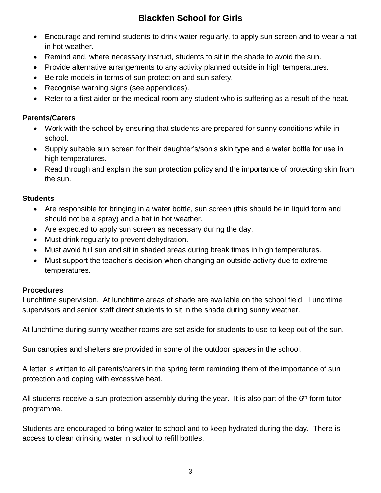- Encourage and remind students to drink water regularly, to apply sun screen and to wear a hat in hot weather.
- Remind and, where necessary instruct, students to sit in the shade to avoid the sun.
- Provide alternative arrangements to any activity planned outside in high temperatures.
- Be role models in terms of sun protection and sun safety.
- Recognise warning signs (see appendices).
- Refer to a first aider or the medical room any student who is suffering as a result of the heat.

#### **Parents/Carers**

- Work with the school by ensuring that students are prepared for sunny conditions while in school.
- Supply suitable sun screen for their daughter's/son's skin type and a water bottle for use in high temperatures.
- Read through and explain the sun protection policy and the importance of protecting skin from the sun.

#### **Students**

- Are responsible for bringing in a water bottle, sun screen (this should be in liquid form and should not be a spray) and a hat in hot weather.
- Are expected to apply sun screen as necessary during the day.
- Must drink regularly to prevent dehydration.
- Must avoid full sun and sit in shaded areas during break times in high temperatures.
- Must support the teacher's decision when changing an outside activity due to extreme temperatures.

## **Procedures**

Lunchtime supervision. At lunchtime areas of shade are available on the school field. Lunchtime supervisors and senior staff direct students to sit in the shade during sunny weather.

At lunchtime during sunny weather rooms are set aside for students to use to keep out of the sun.

Sun canopies and shelters are provided in some of the outdoor spaces in the school.

A letter is written to all parents/carers in the spring term reminding them of the importance of sun protection and coping with excessive heat.

All students receive a sun protection assembly during the year. It is also part of the  $6<sup>th</sup>$  form tutor programme.

Students are encouraged to bring water to school and to keep hydrated during the day. There is access to clean drinking water in school to refill bottles.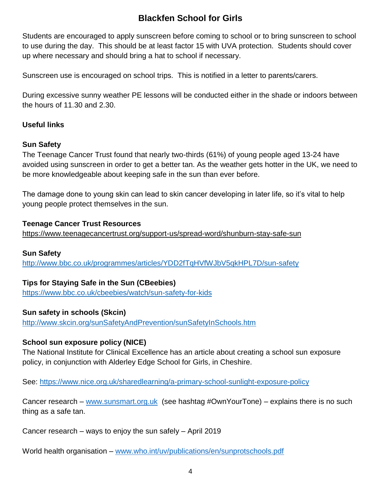Students are encouraged to apply sunscreen before coming to school or to bring sunscreen to school to use during the day. This should be at least factor 15 with UVA protection. Students should cover up where necessary and should bring a hat to school if necessary.

Sunscreen use is encouraged on school trips. This is notified in a letter to parents/carers.

During excessive sunny weather PE lessons will be conducted either in the shade or indoors between the hours of 11.30 and 2.30.

## **Useful links**

## **Sun Safety**

The Teenage Cancer Trust found that nearly two-thirds (61%) of young people aged 13-24 have avoided using sunscreen in order to get a better tan. As the weather gets hotter in the UK, we need to be more knowledgeable about keeping safe in the sun than ever before.

The damage done to young skin can lead to skin cancer developing in later life, so it's vital to help young people protect themselves in the sun.

## **Teenage Cancer Trust Resources**

<https://www.teenagecancertrust.org/support-us/spread-word/shunburn-stay-safe-sun>

# **Sun Safety**

<http://www.bbc.co.uk/programmes/articles/YDD2fTqHVfWJbV5qkHPL7D/sun-safety>

# **Tips for Staying Safe in the Sun (CBeebies)**

<https://www.bbc.co.uk/cbeebies/watch/sun-safety-for-kids>

# **Sun safety in schools (Skcin)**

<http://www.skcin.org/sunSafetyAndPrevention/sunSafetyInSchools.htm>

# **School sun exposure policy (NICE)**

The National Institute for Clinical Excellence has an article about creating a school sun exposure policy, in conjunction with Alderley Edge School for Girls, in Cheshire.

See:<https://www.nice.org.uk/sharedlearning/a-primary-school-sunlight-exposure-policy>

Cancer research – [www.sunsmart.org.uk](http://www.sunsmart.org.uk/) (see hashtag #OwnYourTone) – explains there is no such thing as a safe tan.

Cancer research – ways to enjoy the sun safely – April 2019

World health organisation – [www.who.int/uv/publications/en/sunprotschools.pdf](http://www.who.int/uv/publications/en/sunprotschools.pdf)